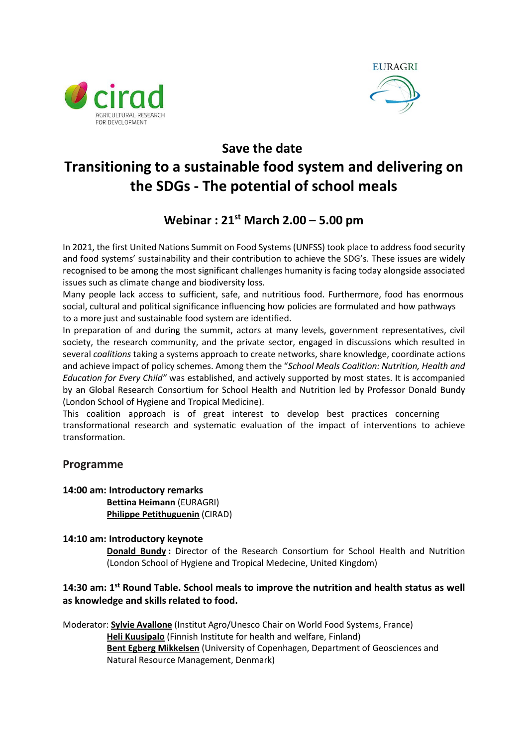



# **Save the date Transitioning to a sustainable food system and delivering on the SDGs - The potential of school meals**

# **Webinar : 21st March 2.00 – 5.00 pm**

In 2021, the first United Nations Summit on Food Systems (UNFSS) took place to address food security and food systems' sustainability and their contribution to achieve the SDG's. These issues are widely recognised to be among the most significant challenges humanity is facing today alongside associated issues such as climate change and biodiversity loss.

Many people lack access to sufficient, safe, and nutritious food. Furthermore, food has enormous social, cultural and political significance influencing how policies are formulated and how pathways to a more just and sustainable food system are identified.

In preparation of and during the summit, actors at many levels, government representatives, civil society, the research community, and the private sector, engaged in discussions which resulted in several *coalitions* taking a systems approach to create networks, share knowledge, coordinate actions and achieve impact of policy schemes. Among them the "*School Meals Coalition: Nutrition, Health and Education for Every Child"* was established, and actively supported by most states. It is accompanied by an Global Research Consortium for School Health and Nutrition led by Professor Donald Bundy (London School of Hygiene and Tropical Medicine).

This coalition approach is of great interest to develop best practices concerning transformational research and systematic evaluation of the impact of interventions to achieve transformation.

## **Programme**

#### **14:00 am: Introductory remarks**

**Bettina Heimann** (EURAGRI) **Philippe Petithuguenin** (CIRAD)

#### **14:10 am: Introductory keynote**

**Donald Bundy :** Director of the Research Consortium for School Health and Nutrition (London School of Hygiene and Tropical Medecine, United Kingdom)

## **14:30 am: 1st Round Table. School meals to improve the nutrition and health status as well as knowledge and skills related to food.**

Moderator: **Sylvie Avallone** (Institut Agro/Unesco Chair on World Food Systems, France) **Heli Kuusipalo** (Finnish Institute for health and welfare, Finland) **Bent Egberg Mikkelsen** (University of Copenhagen, Department of Geosciences and Natural Resource Management, Denmark)